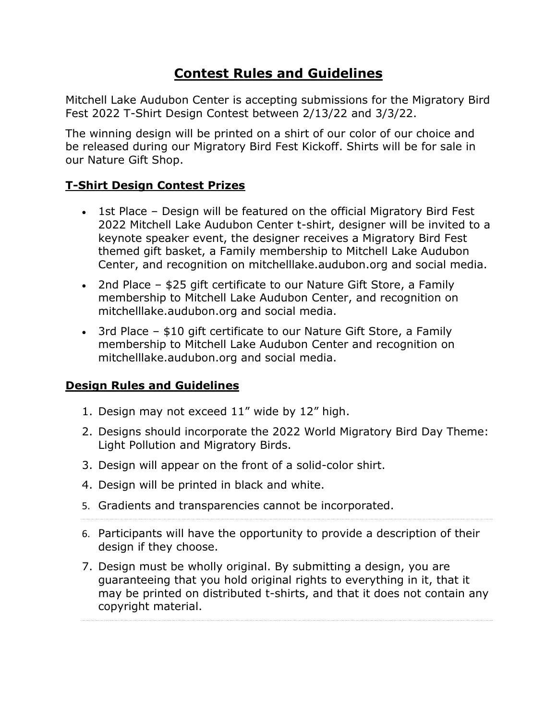# **Contest Rules and Guidelines**

Mitchell Lake Audubon Center is accepting submissions for the Migratory Bird Fest 2022 T-Shirt Design Contest between 2/13/22 and 3/3/22.

The winning design will be printed on a shirt of our color of our choice and be released during our Migratory Bird Fest Kickoff. Shirts will be for sale in our Nature Gift Shop.

### **T-Shirt Design Contest Prizes**

- 1st Place Design will be featured on the official Migratory Bird Fest 2022 Mitchell Lake Audubon Center t-shirt, designer will be invited to a keynote speaker event, the designer receives a Migratory Bird Fest themed gift basket, a Family membership to Mitchell Lake Audubon Center, and recognition on mitchelllake.audubon.org and social media.
- 2nd Place \$25 gift certificate to our Nature Gift Store, a Family membership to Mitchell Lake Audubon Center, and recognition on mitchelllake.audubon.org and social media.
- 3rd Place \$10 gift certificate to our Nature Gift Store, a Family membership to Mitchell Lake Audubon Center and recognition on mitchelllake.audubon.org and social media.

### **Design Rules and Guidelines**

- 1. Design may not exceed 11" wide by 12" high.
- 2. Designs should incorporate the 2022 World Migratory Bird Day Theme: Light Pollution and Migratory Birds.
- 3. Design will appear on the front of a solid-color shirt.
- 4. Design will be printed in black and white.
- 5. Gradients and transparencies cannot be incorporated.
- 6. Participants will have the opportunity to provide a description of their design if they choose.
- 7. Design must be wholly original. By submitting a design, you are guaranteeing that you hold original rights to everything in it, that it may be printed on distributed t-shirts, and that it does not contain any copyright material.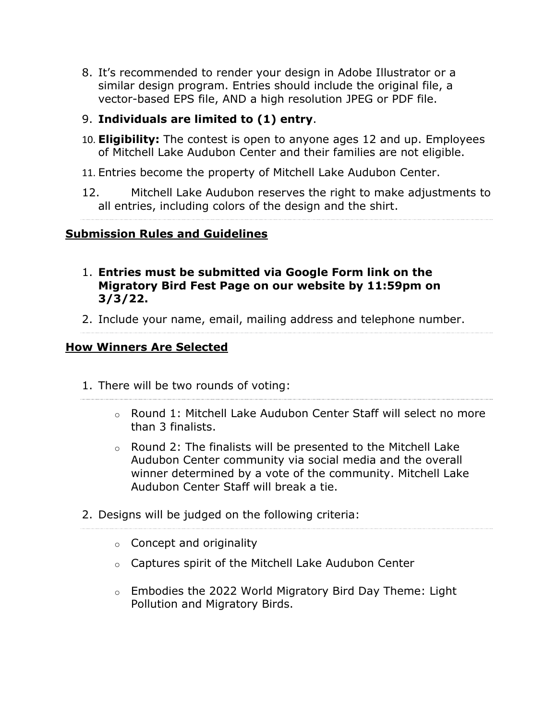- 8. It's recommended to render your design in Adobe Illustrator or a similar design program. Entries should include the original file, a vector-based EPS file, AND a high resolution JPEG or PDF file.
- 9. **Individuals are limited to (1) entry**.
- 10. **Eligibility:** The contest is open to anyone ages 12 and up. Employees of Mitchell Lake Audubon Center and their families are not eligible.
- 11. Entries become the property of Mitchell Lake Audubon Center.
- 12. Mitchell Lake Audubon reserves the right to make adjustments to all entries, including colors of the design and the shirt.

## **Submission Rules and Guidelines**

- 1. **Entries must be submitted via Google Form link on the Migratory Bird Fest Page on our website by 11:59pm on 3/3/22.**
- 2. Include your name, email, mailing address and telephone number.

### **How Winners Are Selected**

- 1. There will be two rounds of voting:
	- $\circ$  Round 1: Mitchell Lake Audubon Center Staff will select no more than 3 finalists.
	- $\circ$  Round 2: The finalists will be presented to the Mitchell Lake Audubon Center community via social media and the overall winner determined by a vote of the community. Mitchell Lake Audubon Center Staff will break a tie.
- 2. Designs will be judged on the following criteria:
	- $\circ$  Concept and originality
	- o Captures spirit of the Mitchell Lake Audubon Center
	- o Embodies the 2022 World Migratory Bird Day Theme: Light Pollution and Migratory Birds.